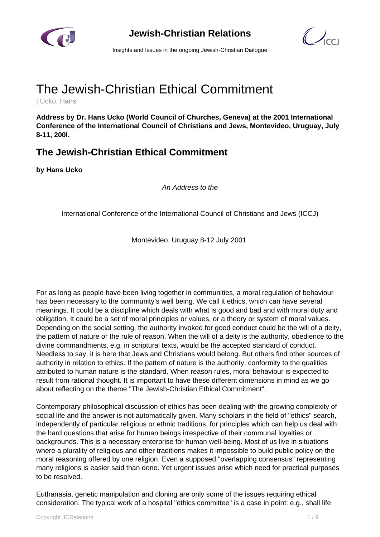

**Jewish-Christian Relations**



Insights and Issues in the ongoing Jewish-Christian Dialogue

# The Jewish-Christian Ethical Commitment

| Ucko, Hans

**Address by Dr. Hans Ucko (World Council of Churches, Geneva) at the 2001 International Conference of the International Council of Christians and Jews, Montevideo, Uruguay, July 8-11, 200l.**

## **The Jewish-Christian Ethical Commitment**

**by Hans Ucko**

An Address to the

International Conference of the International Council of Christians and Jews (ICCJ)

Montevideo, Uruguay 8-12 July 2001

For as long as people have been living together in communities, a moral regulation of behaviour has been necessary to the community's well being. We call it ethics, which can have several meanings. It could be a discipline which deals with what is good and bad and with moral duty and obligation. It could be a set of moral principles or values, or a theory or system of moral values. Depending on the social setting, the authority invoked for good conduct could be the will of a deity, the pattern of nature or the rule of reason. When the will of a deity is the authority, obedience to the divine commandments, e.g. in scriptural texts, would be the accepted standard of conduct. Needless to say, it is here that Jews and Christians would belong. But others find other sources of authority in relation to ethics. If the pattern of nature is the authority, conformity to the qualities attributed to human nature is the standard. When reason rules, moral behaviour is expected to result from rational thought. It is important to have these different dimensions in mind as we go about reflecting on the theme "The Jewish-Christian Ethical Commitment".

Contemporary philosophical discussion of ethics has been dealing with the growing complexity of social life and the answer is not automatically given. Many scholars in the field of "ethics" search, independently of particular religious or ethnic traditions, for principles which can help us deal with the hard questions that arise for human beings irrespective of their communal loyalties or backgrounds. This is a necessary enterprise for human well-being. Most of us live in situations where a plurality of religious and other traditions makes it impossible to build public policy on the moral reasoning offered by one religion. Even a supposed "overlapping consensus" representing many religions is easier said than done. Yet urgent issues arise which need for practical purposes to be resolved.

Euthanasia, genetic manipulation and cloning are only some of the issues requiring ethical consideration. The typical work of a hospital "ethics committee" is a case in point: e.g., shall life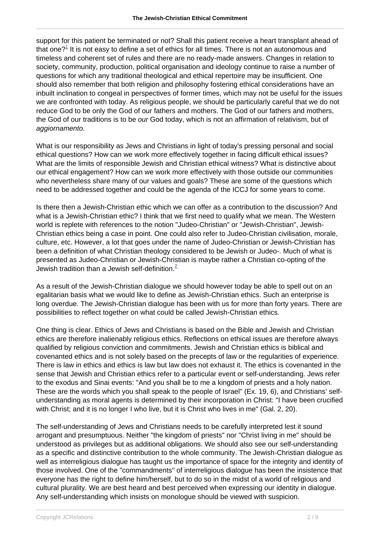support for this patient be terminated or not? Shall this patient receive a heart transplant ahead of that one? $^1$  It is not easy to define a set of ethics for all times. There is not an autonomous and timeless and coherent set of rules and there are no ready-made answers. Changes in relation to society, community, production, political organisation and ideology continue to raise a number of questions for which any traditional theological and ethical repertoire may be insufficient. One should also remember that both religion and philosophy fostering ethical considerations have an inbuilt inclination to congeal in perspectives of former times, which may not be useful for the issues we are confronted with today. As religious people, we should be particularly careful that we do not reduce God to be only the God of our fathers and mothers. The God of our fathers and mothers, the God of our traditions is to be *our* God today, which is not an affirmation of relativism, but of aggiornamento.

What is our responsibility as Jews and Christians in light of today's pressing personal and social ethical questions? How can we work more effectively together in facing difficult ethical issues? What are the limits of responsible Jewish and Christian ethical witness? What is distinctive about our ethical engagement? How can we work more effectively with those outside our communities who nevertheless share many of our values and goals? These are some of the questions which need to be addressed together and could be the agenda of the ICCJ for some years to come.

Is there then a Jewish-Christian ethic which we can offer as a contribution to the discussion? And what is a Jewish-Christian ethic? I think that we first need to qualify what we mean. The Western world is replete with references to the notion "Judeo-Christian" or "Jewish-Christian", Jewish-Christian ethics being a case in point. One could also refer to Judeo-Christian civilisation, morale, culture, etc. However, a lot that goes under the name of Judeo-Christian or Jewish-Christian has been a definition of what Christian theology considered to be Jewish or Judeo-. Much of what is presented as Judeo-Christian or Jewish-Christian is maybe rather a Christian co-opting of the Jewish tradition than a Jewish self-definition.<sup>2</sup>

As a result of the Jewish-Christian dialogue we should however today be able to spell out on an egalitarian basis what we would like to define as Jewish-Christian ethics. Such an enterprise is long overdue. The Jewish-Christian dialogue has been with us for more than forty years. There are possibilities to reflect together on what could be called Jewish-Christian ethics.

One thing is clear. Ethics of Jews and Christians is based on the Bible and Jewish and Christian ethics are therefore inalienably religious ethics. Reflections on ethical issues are therefore always qualified by religious conviction and commitments. Jewish and Christian ethics is biblical and covenanted ethics and is not solely based on the precepts of law or the regularities of experience. There is law in ethics and ethics is law but law does not exhaust it. The ethics is covenanted in the sense that Jewish and Christian ethics refer to a particular event or self-understanding. Jews refer to the exodus and Sinai events: "And you shall be to me a kingdom of priests and a holy nation. These are the words which you shall speak to the people of Israel" (Ex. 19, 6), and Christians' selfunderstanding as moral agents is determined by their incorporation in Christ: "I have been crucified with Christ; and it is no longer I who live, but it is Christ who lives in me" (Gal. 2, 20).

The self-understanding of Jews and Christians needs to be carefully interpreted lest it sound arrogant and presumptuous. Neither "the kingdom of priests" nor "Christ living in me" should be understood as privileges but as additional obligations. We should also see our self-understanding as a specific and distinctive contribution to the whole community. The Jewish-Christian dialogue as well as interreligious dialogue has taught us the importance of space for the integrity and identity of those involved. One of the "commandments" of interreligious dialogue has been the insistence that everyone has the right to define him/herself, but to do so in the midst of a world of religious and cultural plurality. We are best heard and best perceived when expressing our identity in dialogue. Any self-understanding which insists on monologue should be viewed with suspicion.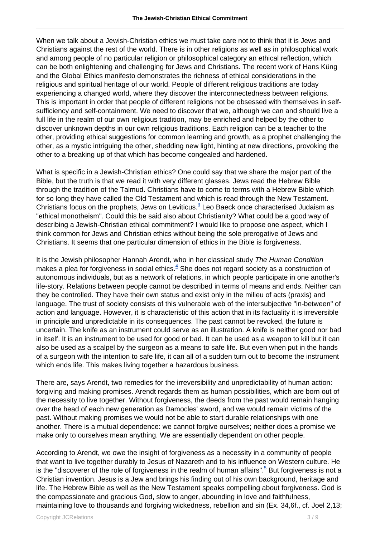When we talk about a Jewish-Christian ethics we must take care not to think that it is Jews and Christians against the rest of the world. There is in other religions as well as in philosophical work and among people of no particular religion or philosophical category an ethical reflection, which can be both enlightening and challenging for Jews and Christians. The recent work of Hans Küng and the Global Ethics manifesto demonstrates the richness of ethical considerations in the religious and spiritual heritage of our world. People of different religious traditions are today experiencing a changed world, where they discover the interconnectedness between religions. This is important in order that people of different religions not be obsessed with themselves in selfsufficiency and self-containment. We need to discover that we, although we can and should live a full life in the realm of our own religious tradition, may be enriched and helped by the other to discover unknown depths in our own religious traditions. Each religion can be a teacher to the other, providing ethical suggestions for common learning and growth, as a prophet challenging the other, as a mystic intriguing the other, shedding new light, hinting at new directions, provoking the other to a breaking up of that which has become congealed and hardened.

What is specific in a Jewish-Christian ethics? One could say that we share the major part of the Bible, but the truth is that we read it with very different glasses. Jews read the Hebrew Bible through the tradition of the Talmud. Christians have to come to terms with a Hebrew Bible which for so long they have called the Old Testament and which is read through the New Testament. Christians focus on the prophets, Jews on Leviticus.<sup>3</sup> Leo Baeck once characterised Judaism as "ethical monotheism". Could this be said also about Christianity? What could be a good way of describing a Jewish-Christian ethical commitment? I would like to propose one aspect, which I think common for Jews and Christian ethics without being the sole prerogative of Jews and Christians. It seems that one particular dimension of ethics in the Bible is forgiveness.

It is the Jewish philosopher Hannah Arendt, who in her classical study The Human Condition makes a plea for forgiveness in social ethics. $^4$  She does not regard society as a construction of autonomous individuals, but as a network of relations, in which people participate in one another's life-story. Relations between people cannot be described in terms of means and ends. Neither can they be controlled. They have their own status and exist only in the milieu of acts (praxis) and language. The trust of society consists of this vulnerable web of the intersubjective "in-between" of action and language. However, it is characteristic of this action that in its factuality it is irreversible in principle and unpredictable in its consequences. The past cannot be revoked, the future is uncertain. The knife as an instrument could serve as an illustration. A knife is neither good nor bad in itself. It is an instrument to be used for good or bad. It can be used as a weapon to kill but it can also be used as a scalpel by the surgeon as a means to safe life. But even when put in the hands of a surgeon with the intention to safe life, it can all of a sudden turn out to become the instrument which ends life. This makes living together a hazardous business.

There are, says Arendt, two remedies for the irreversibility and unpredictability of human action: forgiving and making promises. Arendt regards them as human possibilities, which are born out of the necessity to live together. Without forgiveness, the deeds from the past would remain hanging over the head of each new generation as Damocles' sword, and we would remain victims of the past. Without making promises we would not be able to start durable relationships with one another. There is a mutual dependence: we cannot forgive ourselves; neither does a promise we make only to ourselves mean anything. We are essentially dependent on other people.

According to Arendt, we owe the insight of forgiveness as a necessity in a community of people that want to live together durably to Jesus of Nazareth and to his influence on Western culture. He is the "discoverer of the role of forgiveness in the realm of human affairs".<sup>5</sup> But forgiveness is not a Christian invention. Jesus is a Jew and brings his finding out of his own background, heritage and life. The Hebrew Bible as well as the New Testament speaks compelling about forgiveness. God is the compassionate and gracious God, slow to anger, abounding in love and faithfulness, maintaining love to thousands and forgiving wickedness, rebellion and sin (Ex. 34,6f., cf. Joel 2,13;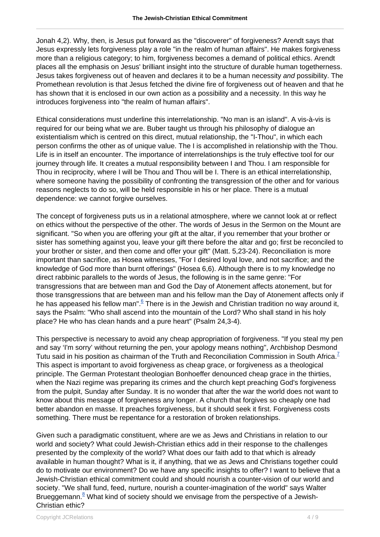Jonah 4,2). Why, then, is Jesus put forward as the "discoverer" of forgiveness? Arendt says that Jesus expressly lets forgiveness play a role "in the realm of human affairs". He makes forgiveness more than a religious category; to him, forgiveness becomes a demand of political ethics. Arendt places all the emphasis on Jesus' brilliant insight into the structure of durable human togetherness. Jesus takes forgiveness out of heaven and declares it to be a human necessity and possibility. The Promethean revolution is that Jesus fetched the divine fire of forgiveness out of heaven and that he has shown that it is enclosed in our own action as a possibility and a necessity. In this way he introduces forgiveness into "the realm of human affairs".

Ethical considerations must underline this interrelationship. "No man is an island". A vis-à-vis is required for our being what we are. Buber taught us through his philosophy of dialogue an existentialism which is centred on this direct, mutual relationship, the "I-Thou", in which each person confirms the other as of unique value. The I is accomplished in relationship with the Thou. Life is in itself an encounter. The importance of interrelationships is the truly effective tool for our journey through life. It creates a mutual responsibility between I and Thou. I am responsible for Thou in reciprocity, where I will be Thou and Thou will be I. There is an ethical interrelationship, where someone having the possibility of confronting the transgression of the other and for various reasons neglects to do so, will be held responsible in his or her place. There is a mutual dependence: we cannot forgive ourselves.

The concept of forgiveness puts us in a relational atmosphere, where we cannot look at or reflect on ethics without the perspective of the other. The words of Jesus in the Sermon on the Mount are significant. "So when you are offering your gift at the altar, if you remember that your brother or sister has something against you, leave your gift there before the altar and go; first be reconciled to your brother or sister, and then come and offer your gift" (Matt. 5,23-24). Reconciliation is more important than sacrifice, as Hosea witnesses, "For I desired loyal love, and not sacrifice; and the knowledge of God more than burnt offerings" (Hosea 6,6). Although there is to my knowledge no direct rabbinic parallels to the words of Jesus, the following is in the same genre: "For transgressions that are between man and God the Day of Atonement affects atonement, but for those transgressions that are between man and his fellow man the Day of Atonement affects only if he has appeased his fellow man".<sup>6</sup> There is in the Jewish and Christian tradition no way around it, says the Psalm: "Who shall ascend into the mountain of the Lord? Who shall stand in his holy place? He who has clean hands and a pure heart" (Psalm 24,3-4).

This perspective is necessary to avoid any cheap appropriation of forgiveness. "If you steal my pen and say 'I'm sorry' without returning the pen, your apology means nothing", Archbishop Desmond Tutu said in his position as chairman of the Truth and Reconciliation Commission in South Africa.<sup>7</sup> This aspect is important to avoid forgiveness as cheap grace, or forgiveness as a theological principle. The German Protestant theologian Bonhoeffer denounced cheap grace in the thirties, when the Nazi regime was preparing its crimes and the church kept preaching God's forgiveness from the pulpit, Sunday after Sunday. It is no wonder that after the war the world does not want to know about this message of forgiveness any longer. A church that forgives so cheaply one had better abandon en masse. It preaches forgiveness, but it should seek it first. Forgiveness costs something. There must be repentance for a restoration of broken relationships.

Given such a paradigmatic constituent, where are we as Jews and Christians in relation to our world and society? What could Jewish-Christian ethics add in their response to the challenges presented by the complexity of the world? What does our faith add to that which is already available in human thought? What is it, if anything, that we as Jews and Christians together could do to motivate our environment? Do we have any specific insights to offer? I want to believe that a Jewish-Christian ethical commitment could and should nourish a counter-vision of our world and society. "We shall fund, feed, nurture, nourish a counter-imagination of the world" says Walter Brueggemann.<sup>8</sup> What kind of society should we envisage from the perspective of a Jewish-Christian ethic?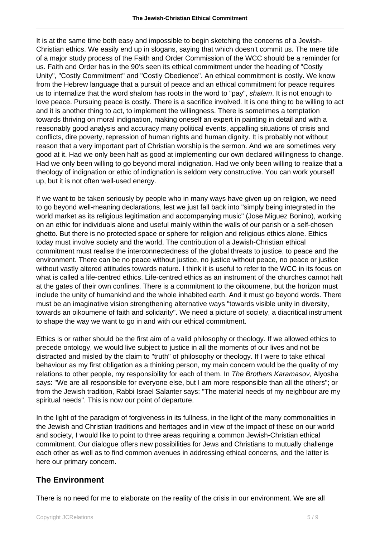It is at the same time both easy and impossible to begin sketching the concerns of a Jewish-Christian ethics. We easily end up in slogans, saying that which doesn't commit us. The mere title of a major study process of the Faith and Order Commission of the WCC should be a reminder for us. Faith and Order has in the 90's seen its ethical commitment under the heading of "Costly Unity", "Costly Commitment" and "Costly Obedience". An ethical commitment is costly. We know from the Hebrew language that a pursuit of peace and an ethical commitment for peace requires us to internalize that the word shalom has roots in the word to "pay", shalem. It is not enough to love peace. Pursuing peace is costly. There is a sacrifice involved. It is one thing to be willing to act and it is another thing to act, to implement the willingness. There is sometimes a temptation towards thriving on moral indignation, making oneself an expert in painting in detail and with a reasonably good analysis and accuracy many political events, appalling situations of crisis and conflicts, dire poverty, repression of human rights and human dignity. It is probably not without reason that a very important part of Christian worship is the sermon. And we are sometimes very good at it. Had we only been half as good at implementing our own declared willingness to change. Had we only been willing to go beyond moral indignation. Had we only been willing to realize that a theology of indignation or ethic of indignation is seldom very constructive. You can work yourself up, but it is not often well-used energy.

If we want to be taken seriously by people who in many ways have given up on religion, we need to go beyond well-meaning declarations, lest we just fall back into "simply being integrated in the world market as its religious legitimation and accompanying music" (Jose Miguez Bonino), working on an ethic for individuals alone and useful mainly within the walls of our parish or a self-chosen ghetto. But there is no protected space or sphere for religion and religious ethics alone. Ethics today must involve society and the world. The contribution of a Jewish-Christian ethical commitment must realise the interconnectedness of the global threats to justice, to peace and the environment. There can be no peace without justice, no justice without peace, no peace or justice without vastly altered attitudes towards nature. I think it is useful to refer to the WCC in its focus on what is called a life-centred ethics. Life-centred ethics as an instrument of the churches cannot halt at the gates of their own confines. There is a commitment to the oikoumene, but the horizon must include the unity of humankind and the whole inhabited earth. And it must go beyond words. There must be an imaginative vision strengthening alternative ways "towards visible unity in diversity, towards an oikoumene of faith and solidarity". We need a picture of society, a diacritical instrument to shape the way we want to go in and with our ethical commitment.

Ethics is or rather should be the first aim of a valid philosophy or theology. If we allowed ethics to precede ontology, we would live subject to justice in all the moments of our lives and not be distracted and misled by the claim to "truth" of philosophy or theology. If I were to take ethical behaviour as my first obligation as a thinking person, my main concern would be the quality of my relations to other people, my responsibility for each of them. In *The Brothers Karamasov*, Alyosha says: "We are all responsible for everyone else, but I am more responsible than all the others"; or from the Jewish tradition, Rabbi Israel Salanter says: "The material needs of my neighbour are my spiritual needs". This is now our point of departure.

In the light of the paradigm of forgiveness in its fullness, in the light of the many commonalities in the Jewish and Christian traditions and heritages and in view of the impact of these on our world and society, I would like to point to three areas requiring a common Jewish-Christian ethical commitment. Our dialogue offers new possibilities for Jews and Christians to mutually challenge each other as well as to find common avenues in addressing ethical concerns, and the latter is here our primary concern.

### **The Environment**

There is no need for me to elaborate on the reality of the crisis in our environment. We are all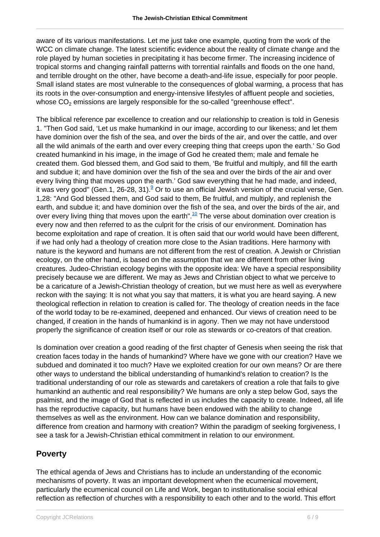aware of its various manifestations. Let me just take one example, quoting from the work of the WCC on climate change. The latest scientific evidence about the reality of climate change and the role played by human societies in precipitating it has become firmer. The increasing incidence of tropical storms and changing rainfall patterns with torrential rainfalls and floods on the one hand, and terrible drought on the other, have become a death-and-life issue, especially for poor people. Small island states are most vulnerable to the consequences of global warming, a process that has its roots in the over-consumption and energy-intensive lifestyles of affluent people and societies, whose  $\mathsf{CO}_2$  emissions are largely responsible for the so-called "greenhouse effect".

The biblical reference par excellence to creation and our relationship to creation is told in Genesis 1. "Then God said, 'Let us make humankind in our image, according to our likeness; and let them have dominion over the fish of the sea, and over the birds of the air, and over the cattle, and over all the wild animals of the earth and over every creeping thing that creeps upon the earth.' So God created humankind in his image, in the image of God he created them; male and female he created them. God blessed them, and God said to them, 'Be fruitful and multiply, and fill the earth and subdue it; and have dominion over the fish of the sea and over the birds of the air and over every living thing that moves upon the earth.' God saw everything that he had made, and indeed, it was very good" (Gen.1, 26-28, 31). $^{\circ}$  Or to use an official Jewish version of the crucial verse, Gen. 1,28: "And God blessed them, and God said to them, Be fruitful, and multiply, and replenish the earth, and subdue it; and have dominion over the fish of the sea, and over the birds of the air, and over every living thing that moves upon the earth".<sup>10</sup> The verse about domination over creation is every now and then referred to as the culprit for the crisis of our environment. Domination has become exploitation and rape of creation. It is often said that our world would have been different, if we had only had a theology of creation more close to the Asian traditions. Here harmony with nature is the keyword and humans are not different from the rest of creation. A Jewish or Christian ecology, on the other hand, is based on the assumption that we are different from other living creatures. Judeo-Christian ecology begins with the opposite idea: We have a special responsibility precisely because we are different. We may as Jews and Christian object to what we perceive to be a caricature of a Jewish-Christian theology of creation, but we must here as well as everywhere reckon with the saying: It is not what you say that matters, it is what you are heard saying. A new theological reflection in relation to creation is called for. The theology of creation needs in the face of the world today to be re-examined, deepened and enhanced. Our views of creation need to be changed, if creation in the hands of humankind is in agony. Then we may not have understood properly the significance of creation itself or our role as stewards or co-creators of that creation.

Is domination over creation a good reading of the first chapter of Genesis when seeing the risk that creation faces today in the hands of humankind? Where have we gone with our creation? Have we subdued and dominated it too much? Have we exploited creation for our own means? Or are there other ways to understand the biblical understanding of humankind's relation to creation? Is the traditional understanding of our role as stewards and caretakers of creation a role that fails to give humankind an authentic and real responsibility? We humans are only a step below God, says the psalmist, and the image of God that is reflected in us includes the capacity to create. Indeed, all life has the reproductive capacity, but humans have been endowed with the ability to change themselves as well as the environment. How can we balance domination and responsibility, difference from creation and harmony with creation? Within the paradigm of seeking forgiveness, I see a task for a Jewish-Christian ethical commitment in relation to our environment.

### **Poverty**

The ethical agenda of Jews and Christians has to include an understanding of the economic mechanisms of poverty. It was an important development when the ecumenical movement, particularly the ecumenical council on Life and Work, began to institutionalise social ethical reflection as reflection of churches with a responsibility to each other and to the world. This effort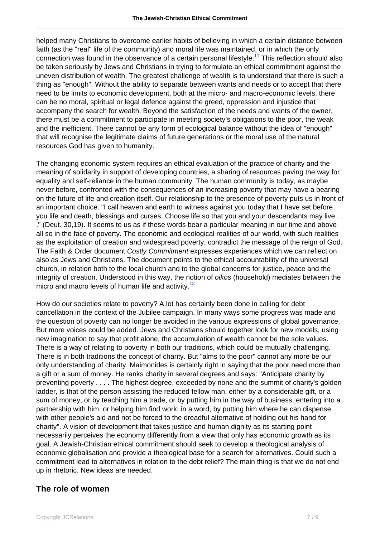helped many Christians to overcome earlier habits of believing in which a certain distance between faith (as the "real" life of the community) and moral life was maintained, or in which the only connection was found in the observance of a certain personal lifestyle.<sup>11</sup> This reflection should also be taken seriously by Jews and Christians in trying to formulate an ethical commitment against the uneven distribution of wealth. The greatest challenge of wealth is to understand that there is such a thing as "enough". Without the ability to separate between wants and needs or to accept that there need to be limits to economic development, both at the micro- and macro-economic levels, there can be no moral, spiritual or legal defence against the greed, oppression and injustice that accompany the search for wealth. Beyond the satisfaction of the needs and wants of the owner, there must be a commitment to participate in meeting society's obligations to the poor, the weak and the inefficient. There cannot be any form of ecological balance without the idea of "enough" that will recognise the legitimate claims of future generations or the moral use of the natural resources God has given to humanity.

The changing economic system requires an ethical evaluation of the practice of charity and the meaning of solidarity in support of developing countries, a sharing of resources paving the way for equality and self-reliance in the human community. The human community is today, as maybe never before, confronted with the consequences of an increasing poverty that may have a bearing on the future of life and creation itself. Our relationship to the presence of poverty puts us in front of an important choice. "I call heaven and earth to witness against you today that I have set before you life and death, blessings and curses. Choose life so that you and your descendants may live . . ." (Deut. 30,19). It seems to us as if these words bear a particular meaning in our time and above all so in the face of poverty. The economic and ecological realities of our world, with such realities as the exploitation of creation and widespread poverty, contradict the message of the reign of God. The Faith & Order document Costly Commitment expresses experiences which we can reflect on also as Jews and Christians. The document points to the ethical accountability of the universal church, in relation both to the local church and to the global concerns for justice, peace and the integrity of creation. Understood in this way, the notion of oikos (household) mediates between the micro and macro levels of human life and activity. $12$ 

How do our societies relate to poverty? A lot has certainly been done in calling for debt cancellation in the context of the Jubilee campaign. In many ways some progress was made and the question of poverty can no longer be avoided in the various expressions of global governance. But more voices could be added. Jews and Christians should together look for new models, using new imagination to say that profit alone, the accumulation of wealth cannot be the sole values. There is a way of relating to poverty in both our traditions, which could be mutually challenging. There is in both traditions the concept of charity. But "alms to the poor" cannot any more be our only understanding of charity. Maimonides is certainly right in saying that the poor need more than a gift or a sum of money. He ranks charity in several degrees and says: "Anticipate charity by preventing poverty . . . . The highest degree, exceeded by none and the summit of charity's golden ladder, is that of the person assisting the reduced fellow man, either by a considerable gift, or a sum of money, or by teaching him a trade, or by putting him in the way of business, entering into a partnership with him, or helping him find work; in a word, by putting him where he can dispense with other people's aid and not be forced to the dreadful alternative of holding out his hand for charity". A vision of development that takes justice and human dignity as its starting point necessarily perceives the economy differently from a view that only has economic growth as its goal. A Jewish-Christian ethical commitment should seek to develop a theological analysis of economic globalisation and provide a theological base for a search for alternatives. Could such a commitment lead to alternatives in relation to the debt relief? The main thing is that we do not end up in rhetoric. New ideas are needed.

### **The role of women**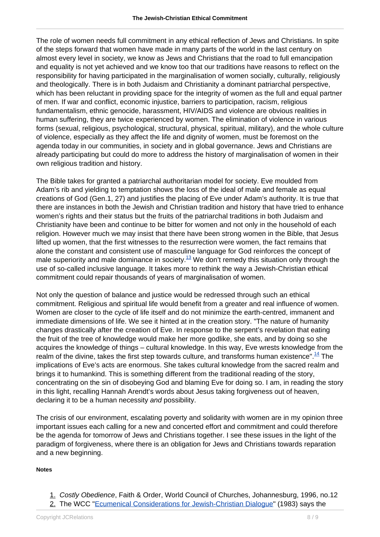The role of women needs full commitment in any ethical reflection of Jews and Christians. In spite of the steps forward that women have made in many parts of the world in the last century on almost every level in society, we know as Jews and Christians that the road to full emancipation and equality is not yet achieved and we know too that our traditions have reasons to reflect on the responsibility for having participated in the marginalisation of women socially, culturally, religiously and theologically. There is in both Judaism and Christianity a dominant patriarchal perspective, which has been reluctant in providing space for the integrity of women as the full and equal partner of men. If war and conflict, economic injustice, barriers to participation, racism, religious fundamentalism, ethnic genocide, harassment, HIV/AIDS and violence are obvious realities in human suffering, they are twice experienced by women. The elimination of violence in various forms (sexual, religious, psychological, structural, physical, spiritual, military), and the whole culture of violence, especially as they affect the life and dignity of women, must be foremost on the agenda today in our communities, in society and in global governance. Jews and Christians are already participating but could do more to address the history of marginalisation of women in their own religious tradition and history.

The Bible takes for granted a patriarchal authoritarian model for society. Eve moulded from Adam's rib and yielding to temptation shows the loss of the ideal of male and female as equal creations of God (Gen.1, 27) and justifies the placing of Eve under Adam's authority. It is true that there are instances in both the Jewish and Christian tradition and history that have tried to enhance women's rights and their status but the fruits of the patriarchal traditions in both Judaism and Christianity have been and continue to be bitter for women and not only in the household of each religion. However much we may insist that there have been strong women in the Bible, that Jesus lifted up women, that the first witnesses to the resurrection were women, the fact remains that alone the constant and consistent use of masculine language for God reinforces the concept of male superiority and male dominance in society.<sup>13</sup> We don't remedy this situation only through the use of so-called inclusive language. It takes more to rethink the way a Jewish-Christian ethical commitment could repair thousands of years of marginalisation of women.

Not only the question of balance and justice would be redressed through such an ethical commitment. Religious and spiritual life would benefit from a greater and real influence of women. Women are closer to the cycle of life itself and do not minimize the earth-centred, immanent and immediate dimensions of life. We see it hinted at in the creation story. "The nature of humanity changes drastically after the creation of Eve. In response to the serpent's revelation that eating the fruit of the tree of knowledge would make her more godlike, she eats, and by doing so she acquires the knowledge of things – cultural knowledge. In this way, Eve wrests knowledge from the realm of the divine, takes the first step towards culture, and transforms human existence".  $^{14}$  The implications of Eve's acts are enormous. She takes cultural knowledge from the sacred realm and brings it to humankind. This is something different from the traditional reading of the story, concentrating on the sin of disobeying God and blaming Eve for doing so. I am, in reading the story in this light, recalling Hannah Arendt's words about Jesus taking forgiveness out of heaven, declaring it to be a human necessity and possibility.

The crisis of our environment, escalating poverty and solidarity with women are in my opinion three important issues each calling for a new and concerted effort and commitment and could therefore be the agenda for tomorrow of Jews and Christians together. I see these issues in the light of the paradigm of forgiveness, where there is an obligation for Jews and Christians towards reparation and a new beginning.

#### **Notes**

- 1. Costly Obedience, Faith & Order, World Council of Churches, Johannesburg, 1996, no.12
- 2. The WCC "[Ecumenical Considerations for Jewish-Christian Dialogue"](/article.html) (1983) says the